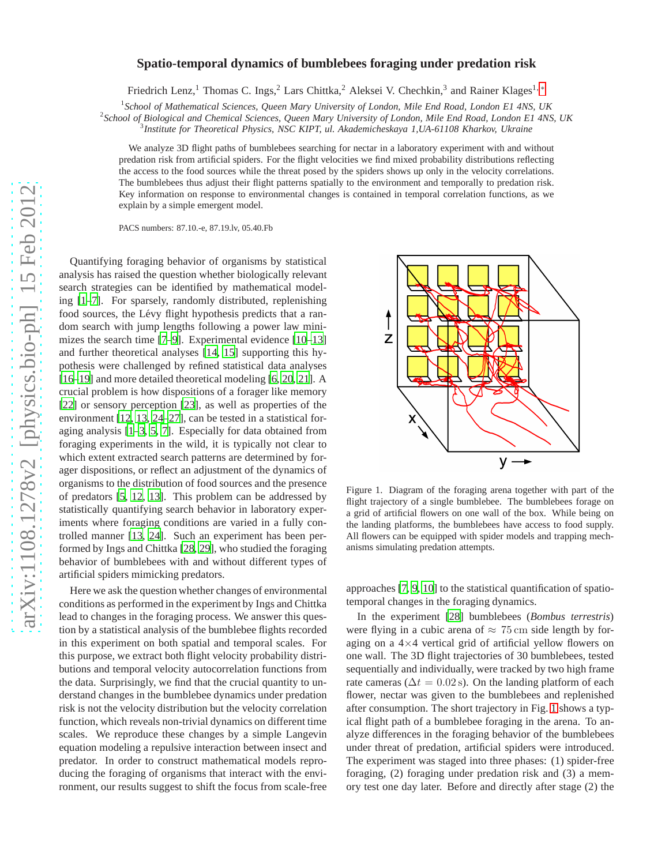# arXiv:1108.1278v2 [physics.bio-ph] 15 Feb 2012 [arXiv:1108.1278v2 \[physics.bio-ph\] 15 Feb 2012](http://arxiv.org/abs/1108.1278v2)

# **Spatio-temporal dynamics of bumblebees foraging under predation risk**

Friedrich Lenz,<sup>1</sup> Thomas C. Ings,<sup>2</sup> Lars Chittka,<sup>2</sup> Aleksei V. Chechkin,<sup>3</sup> and Rainer Klages<sup>1,\*</sup>

<sup>1</sup> School of Mathematical Sciences, Queen Mary University of London, Mile End Road, London E1 4NS, UK

2 *School of Biological and Chemical Sciences, Queen Mary University of London, Mile End Road, London E1 4NS, UK*

3 *Institute for Theoretical Physics, NSC KIPT, ul. Akademicheskaya 1,UA-61108 Kharkov, Ukraine*

We analyze 3D flight paths of bumblebees searching for nectar in a laboratory experiment with and without predation risk from artificial spiders. For the flight velocities we find mixed probability distributions reflecting the access to the food sources while the threat posed by the spiders shows up only in the velocity correlations. The bumblebees thus adjust their flight patterns spatially to the environment and temporally to predation risk. Key information on response to environmental changes is contained in temporal correlation functions, as we explain by a simple emergent model.

PACS numbers: 87.10.-e, 87.19.lv, 05.40.Fb

Quantifying foraging behavior of organisms by statistical analysis has raised the question whether biologically relevant search strategies can be identified by mathematical modeling [\[1](#page-3-1)[–7\]](#page-3-2). For sparsely, randomly distributed, replenishing food sources, the Lévy flight hypothesis predicts that a random search with jump lengths following a power law mini-mizes the search time [\[7](#page-3-2)[–9\]](#page-3-3). Experimental evidence [\[10](#page-3-4)[–13\]](#page-3-5) and further theoretical analyses [\[14,](#page-3-6) [15\]](#page-3-7) supporting this hypothesis were challenged by refined statistical data analyses [\[16](#page-3-8)[–19](#page-3-9)] and more detailed theoretical modeling [\[6,](#page-3-10) [20](#page-3-11), [21](#page-3-12)]. A crucial problem is how dispositions of a forager like memory [\[22](#page-3-13)] or sensory perception [\[23\]](#page-3-14), as well as properties of the environment [\[12,](#page-3-15) [13,](#page-3-5) [24](#page-3-16)[–27\]](#page-3-17), can be tested in a statistical foraging analysis [\[1](#page-3-1)[–3,](#page-3-18) [5,](#page-3-19) [7](#page-3-2)]. Especially for data obtained from foraging experiments in the wild, it is typically not clear to which extent extracted search patterns are determined by forager dispositions, or reflect an adjustment of the dynamics of organisms to the distribution of food sources and the presence of predators [\[5,](#page-3-19) [12,](#page-3-15) [13\]](#page-3-5). This problem can be addressed by statistically quantifying search behavior in laboratory experiments where foraging conditions are varied in a fully controlled manner [\[13,](#page-3-5) [24\]](#page-3-16). Such an experiment has been performed by Ings and Chittka [\[28,](#page-6-0) [29\]](#page-3-20), who studied the foraging behavior of bumblebees with and without different types of artificial spiders mimicking predators.

Here we ask the question whether changes of environmental conditions as performed in the experiment by Ings and Chittka lead to changes in the foraging process. We answer this question by a statistical analysis of the bumblebee flights recorded in this experiment on both spatial and temporal scales. For this purpose, we extract both flight velocity probability distributions and temporal velocity autocorrelation functions from the data. Surprisingly, we find that the crucial quantity to understand changes in the bumblebee dynamics under predation risk is not the velocity distribution but the velocity correlation function, which reveals non-trivial dynamics on different time scales. We reproduce these changes by a simple Langevin equation modeling a repulsive interaction between insect and predator. In order to construct mathematical models reproducing the foraging of organisms that interact with the environment, our results suggest to shift the focus from scale-free



Figure 1. Diagram of the foraging arena together with part of the flight trajectory of a single bumblebee. The bumblebees forage on a grid of artificial flowers on one wall of the box. While being on the landing platforms, the bumblebees have access to food supply. All flowers can be equipped with spider models and trapping mechanisms simulating predation attempts.

approaches [\[7,](#page-3-2) [9](#page-3-3), [10](#page-3-4)] to the statistical quantification of spatiotemporal changes in the foraging dynamics.

In the experiment [\[28](#page-6-0)] bumblebees (*Bombus terrestris*) were flying in a cubic arena of  $\approx 75$  cm side length by foraging on a  $4\times4$  vertical grid of artificial yellow flowers on one wall. The 3D flight trajectories of 30 bumblebees, tested sequentially and individually, were tracked by two high frame rate cameras ( $\Delta t = 0.02$  s). On the landing platform of each flower, nectar was given to the bumblebees and replenished after consumption. The short trajectory in Fig. [1](#page-5-0) shows a typical flight path of a bumblebee foraging in the arena. To analyze differences in the foraging behavior of the bumblebees under threat of predation, artificial spiders were introduced. The experiment was staged into three phases: (1) spider-free foraging, (2) foraging under predation risk and (3) a memory test one day later. Before and directly after stage (2) the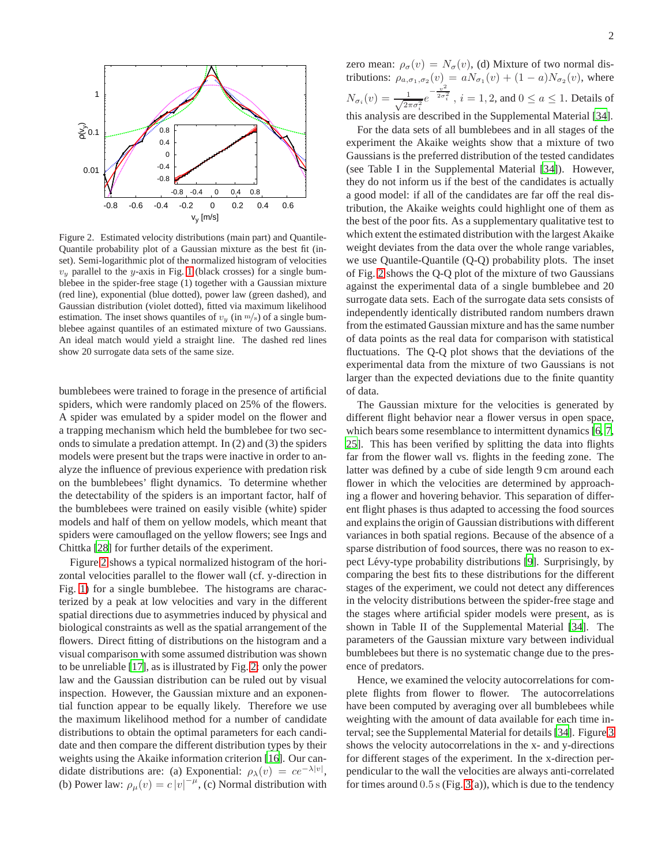

Figure 2. Estimated velocity distributions (main part) and Quantile-Quantile probability plot of a Gaussian mixture as the best fit (inset). Semi-logarithmic plot of the normalized histogram of velocities  $v_y$  parallel to the y-axis in Fig. [1](#page-5-0) (black crosses) for a single bumblebee in the spider-free stage (1) together with a Gaussian mixture (red line), exponential (blue dotted), power law (green dashed), and Gaussian distribution (violet dotted), fitted via maximum likelihood estimation. The inset shows quantiles of  $v_y$  (in  $m/s$ ) of a single bumblebee against quantiles of an estimated mixture of two Gaussians. An ideal match would yield a straight line. The dashed red lines show 20 surrogate data sets of the same size.

bumblebees were trained to forage in the presence of artificial spiders, which were randomly placed on 25% of the flowers. A spider was emulated by a spider model on the flower and a trapping mechanism which held the bumblebee for two seconds to simulate a predation attempt. In (2) and (3) the spiders models were present but the traps were inactive in order to analyze the influence of previous experience with predation risk on the bumblebees' flight dynamics. To determine whether the detectability of the spiders is an important factor, half of the bumblebees were trained on easily visible (white) spider models and half of them on yellow models, which meant that spiders were camouflaged on the yellow flowers; see Ings and Chittka [\[28](#page-6-0)] for further details of the experiment.

Figure [2](#page-6-1) shows a typical normalized histogram of the horizontal velocities parallel to the flower wall (cf. y-direction in Fig. [1\)](#page-5-0) for a single bumblebee. The histograms are characterized by a peak at low velocities and vary in the different spatial directions due to asymmetries induced by physical and biological constraints as well as the spatial arrangement of the flowers. Direct fitting of distributions on the histogram and a visual comparison with some assumed distribution was shown to be unreliable [\[17\]](#page-3-21), as is illustrated by Fig. [2:](#page-6-1) only the power law and the Gaussian distribution can be ruled out by visual inspection. However, the Gaussian mixture and an exponential function appear to be equally likely. Therefore we use the maximum likelihood method for a number of candidate distributions to obtain the optimal parameters for each candidate and then compare the different distribution types by their weights using the Akaike information criterion [\[16](#page-3-8)]. Our candidate distributions are: (a) Exponential:  $\rho_{\lambda}(v) = ce^{-\lambda|v|}$ , (b) Power law:  $\rho_{\mu}(v) = c |v|^{-\mu}$ , (c) Normal distribution with

zero mean:  $\rho_{\sigma}(v) = N_{\sigma}(v)$ , (d) Mixture of two normal distributions:  $\rho_{a,\sigma_1,\sigma_2}(v) = aN_{\sigma_1}(v) + (1-a)N_{\sigma_2}(v)$ , where  $N_{\sigma_i}(v) = \frac{1}{\sqrt{2\pi\sigma_i^2}} e^{-\frac{v^2}{2\sigma_i^2}}$ ,  $i = 1, 2$ , and  $0 \le a \le 1$ . Details of this analysis are described in the Supplemental Material [\[34\]](#page-3-22).

For the data sets of all bumblebees and in all stages of the experiment the Akaike weights show that a mixture of two Gaussians is the preferred distribution of the tested candidates (see Table I in the Supplemental Material [\[34\]](#page-3-22)). However, they do not inform us if the best of the candidates is actually a good model: if all of the candidates are far off the real distribution, the Akaike weights could highlight one of them as the best of the poor fits. As a supplementary qualitative test to which extent the estimated distribution with the largest Akaike weight deviates from the data over the whole range variables, we use Quantile-Quantile (Q-Q) probability plots. The inset of Fig. [2](#page-6-1) shows the Q-Q plot of the mixture of two Gaussians against the experimental data of a single bumblebee and 20 surrogate data sets. Each of the surrogate data sets consists of independently identically distributed random numbers drawn from the estimated Gaussian mixture and has the same number of data points as the real data for comparison with statistical fluctuations. The Q-Q plot shows that the deviations of the experimental data from the mixture of two Gaussians is not larger than the expected deviations due to the finite quantity of data.

The Gaussian mixture for the velocities is generated by different flight behavior near a flower versus in open space, which bears some resemblance to intermittent dynamics [\[6,](#page-3-10) [7,](#page-3-2) [25\]](#page-3-23). This has been verified by splitting the data into flights far from the flower wall vs. flights in the feeding zone. The latter was defined by a cube of side length 9 cm around each flower in which the velocities are determined by approaching a flower and hovering behavior. This separation of different flight phases is thus adapted to accessing the food sources and explains the origin of Gaussian distributions with different variances in both spatial regions. Because of the absence of a sparse distribution of food sources, there was no reason to ex-pect Lévy-type probability distributions [\[9\]](#page-3-3). Surprisingly, by comparing the best fits to these distributions for the different stages of the experiment, we could not detect any differences in the velocity distributions between the spider-free stage and the stages where artificial spider models were present, as is shown in Table II of the Supplemental Material [\[34](#page-3-22)]. The parameters of the Gaussian mixture vary between individual bumblebees but there is no systematic change due to the presence of predators.

Hence, we examined the velocity autocorrelations for complete flights from flower to flower. The autocorrelations have been computed by averaging over all bumblebees while weighting with the amount of data available for each time interval; see the Supplemental Material for details [\[34\]](#page-3-22). Figure [3](#page-2-0) shows the velocity autocorrelations in the x- and y-directions for different stages of the experiment. In the x-direction perpendicular to the wall the velocities are always anti-correlated for times around  $0.5$  s (Fig. [3\(](#page-2-0)a)), which is due to the tendency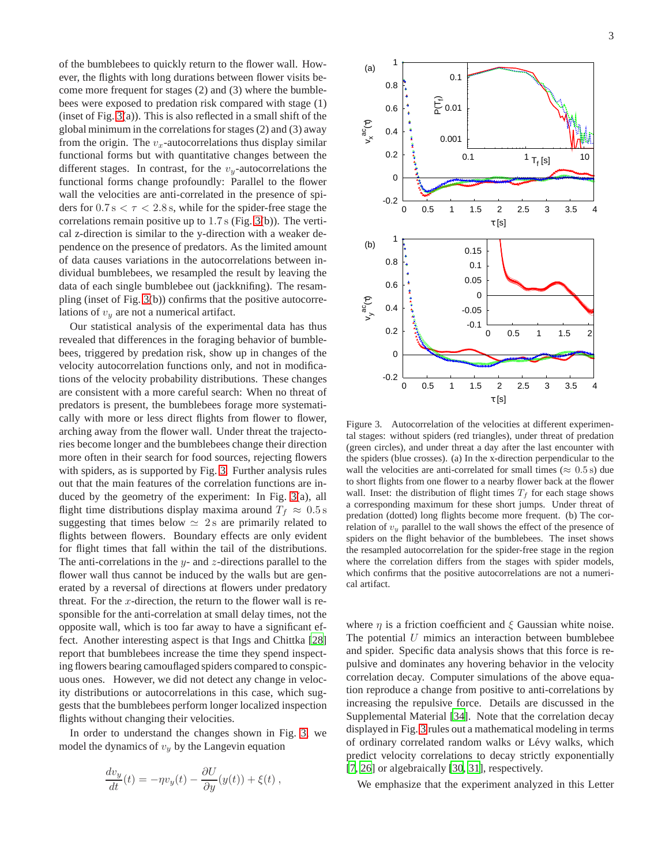of the bumblebees to quickly return to the flower wall. However, the flights with long durations between flower visits become more frequent for stages (2) and (3) where the bumblebees were exposed to predation risk compared with stage (1) (inset of Fig. [3\(](#page-2-0)a)). This is also reflected in a small shift of the global minimum in the correlations for stages (2) and (3) away from the origin. The  $v_x$ -autocorrelations thus display similar functional forms but with quantitative changes between the different stages. In contrast, for the  $v_y$ -autocorrelations the functional forms change profoundly: Parallel to the flower wall the velocities are anti-correlated in the presence of spiders for  $0.7 \text{ s} < \tau < 2.8 \text{ s}$ , while for the spider-free stage the correlations remain positive up to 1.7 s (Fig. [3\(](#page-2-0)b)). The vertical z-direction is similar to the y-direction with a weaker dependence on the presence of predators. As the limited amount of data causes variations in the autocorrelations between individual bumblebees, we resampled the result by leaving the data of each single bumblebee out (jackknifing). The resampling (inset of Fig. [3\(](#page-2-0)b)) confirms that the positive autocorrelations of  $v_y$  are not a numerical artifact.

Our statistical analysis of the experimental data has thus revealed that differences in the foraging behavior of bumblebees, triggered by predation risk, show up in changes of the velocity autocorrelation functions only, and not in modifications of the velocity probability distributions. These changes are consistent with a more careful search: When no threat of predators is present, the bumblebees forage more systematically with more or less direct flights from flower to flower, arching away from the flower wall. Under threat the trajectories become longer and the bumblebees change their direction more often in their search for food sources, rejecting flowers with spiders, as is supported by Fig. [3.](#page-2-0) Further analysis rules out that the main features of the correlation functions are induced by the geometry of the experiment: In Fig. [3\(](#page-2-0)a), all flight time distributions display maxima around  $T_f \approx 0.5$  s suggesting that times below  $\simeq 2$  s are primarily related to flights between flowers. Boundary effects are only evident for flight times that fall within the tail of the distributions. The anti-correlations in the  $y$ - and  $z$ -directions parallel to the flower wall thus cannot be induced by the walls but are generated by a reversal of directions at flowers under predatory threat. For the  $x$ -direction, the return to the flower wall is responsible for the anti-correlation at small delay times, not the opposite wall, which is too far away to have a significant effect. Another interesting aspect is that Ings and Chittka [\[28\]](#page-6-0) report that bumblebees increase the time they spend inspecting flowers bearing camouflaged spiders compared to conspicuous ones. However, we did not detect any change in velocity distributions or autocorrelations in this case, which suggests that the bumblebees perform longer localized inspection flights without changing their velocities.

In order to understand the changes shown in Fig. [3,](#page-2-0) we model the dynamics of  $v_y$  by the Langevin equation

$$
\frac{dv_y}{dt}(t) = -\eta v_y(t) - \frac{\partial U}{\partial y}(y(t)) + \xi(t) ,
$$



<span id="page-2-0"></span>Figure 3. Autocorrelation of the velocities at different experimental stages: without spiders (red triangles), under threat of predation (green circles), and under threat a day after the last encounter with the spiders (blue crosses). (a) In the x-direction perpendicular to the wall the velocities are anti-correlated for small times ( $\approx 0.5$  s) due to short flights from one flower to a nearby flower back at the flower wall. Inset: the distribution of flight times  $T_f$  for each stage shows a corresponding maximum for these short jumps. Under threat of predation (dotted) long flights become more frequent. (b) The correlation of  $v_y$  parallel to the wall shows the effect of the presence of spiders on the flight behavior of the bumblebees. The inset shows the resampled autocorrelation for the spider-free stage in the region where the correlation differs from the stages with spider models, which confirms that the positive autocorrelations are not a numerical artifact.

where  $\eta$  is a friction coefficient and  $\xi$  Gaussian white noise. The potential  $U$  mimics an interaction between bumblebee and spider. Specific data analysis shows that this force is repulsive and dominates any hovering behavior in the velocity correlation decay. Computer simulations of the above equation reproduce a change from positive to anti-correlations by increasing the repulsive force. Details are discussed in the Supplemental Material [\[34](#page-3-22)]. Note that the correlation decay displayed in Fig. [3](#page-2-0) rules out a mathematical modeling in terms of ordinary correlated random walks or Lévy walks, which predict velocity correlations to decay strictly exponentially [\[7](#page-3-2), [26](#page-3-24)] or algebraically [\[30](#page-3-25), [31](#page-3-26)], respectively.

We emphasize that the experiment analyzed in this Letter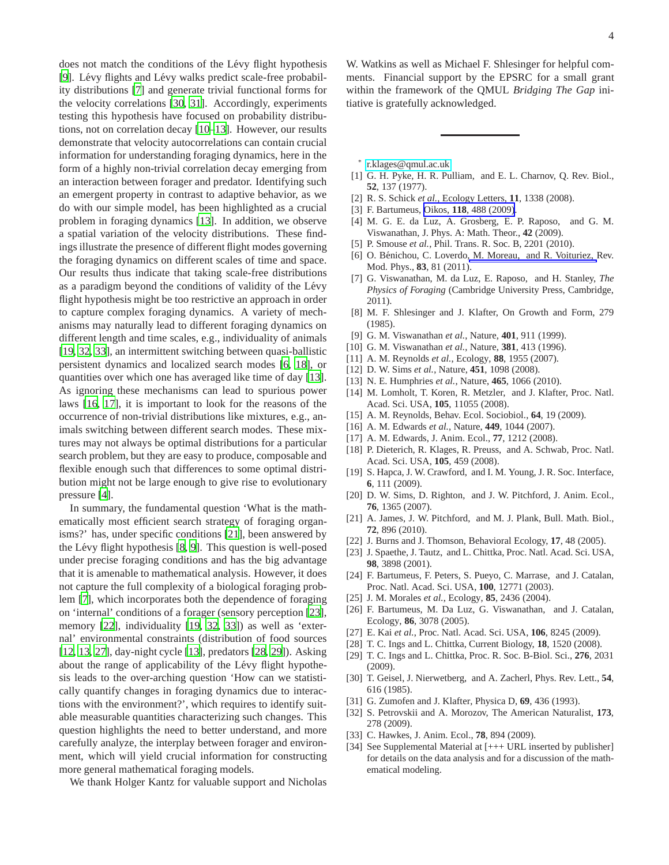does not match the conditions of the Lévy flight hypothesis [\[9](#page-3-3)]. Lévy flights and Lévy walks predict scale-free probability distributions [\[7\]](#page-3-2) and generate trivial functional forms for the velocity correlations [\[30](#page-3-25), [31](#page-3-26)]. Accordingly, experiments testing this hypothesis have focused on probability distributions, not on correlation decay [\[10](#page-3-4)[–13\]](#page-3-5). However, our results demonstrate that velocity autocorrelations can contain crucial information for understanding foraging dynamics, here in the form of a highly non-trivial correlation decay emerging from an interaction between forager and predator. Identifying such an emergent property in contrast to adaptive behavior, as we do with our simple model, has been highlighted as a crucial problem in foraging dynamics [\[13\]](#page-3-5). In addition, we observe a spatial variation of the velocity distributions. These findings illustrate the presence of different flight modes governing the foraging dynamics on different scales of time and space. Our results thus indicate that taking scale-free distributions as a paradigm beyond the conditions of validity of the Lévy flight hypothesis might be too restrictive an approach in order to capture complex foraging dynamics. A variety of mechanisms may naturally lead to different foraging dynamics on different length and time scales, e.g., individuality of animals [\[19](#page-3-9), [32](#page-3-27), [33](#page-3-28)], an intermittent switching between quasi-ballistic persistent dynamics and localized search modes [\[6](#page-3-10), [18\]](#page-3-29), or quantities over which one has averaged like time of day [\[13](#page-3-5)]. As ignoring these mechanisms can lead to spurious power laws [\[16](#page-3-8), [17](#page-3-21)], it is important to look for the reasons of the occurrence of non-trivial distributions like mixtures, e.g., animals switching between different search modes. These mixtures may not always be optimal distributions for a particular search problem, but they are easy to produce, composable and flexible enough such that differences to some optimal distribution might not be large enough to give rise to evolutionary pressure [\[4](#page-3-30)].

In summary, the fundamental question 'What is the mathematically most efficient search strategy of foraging organisms?' has, under specific conditions [\[21\]](#page-3-12), been answered by the Lévy flight hypothesis  $[8, 9]$  $[8, 9]$ . This question is well-posed under precise foraging conditions and has the big advantage that it is amenable to mathematical analysis. However, it does not capture the full complexity of a biological foraging problem [\[7](#page-3-2)], which incorporates both the dependence of foraging on 'internal' conditions of a forager (sensory perception [\[23](#page-3-14)], memory [\[22\]](#page-3-13), individuality [\[19,](#page-3-9) [32,](#page-3-27) [33](#page-3-28)]) as well as 'external' environmental constraints (distribution of food sources [\[12](#page-3-15), [13](#page-3-5), [27\]](#page-3-17), day-night cycle [\[13\]](#page-3-5), predators [\[28](#page-6-0), [29](#page-3-20)]). Asking about the range of applicability of the Lévy flight hypothesis leads to the over-arching question 'How can we statistically quantify changes in foraging dynamics due to interactions with the environment?', which requires to identify suitable measurable quantities characterizing such changes. This question highlights the need to better understand, and more carefully analyze, the interplay between forager and environment, which will yield crucial information for constructing more general mathematical foraging models.

- [30] T. Geisel, J. Nierwetberg, and A. Zacherl, Phys. Rev. Lett., **54**,
- <span id="page-3-26"></span>[31] G. Zumofen and J. Klafter, Physica D, **69**, 436 (1993).
- <span id="page-3-27"></span>[32] S. Petrovskii and A. Morozov, The American Naturalist, **173**, 278 (2009).
- <span id="page-3-28"></span>[33] C. Hawkes, J. Anim. Ecol., **78**, 894 (2009).
- <span id="page-3-22"></span>[34] See Supplemental Material at [+++ URL inserted by publisher] for details on the data analysis and for a discussion of the mathematical modeling.

We thank Holger Kantz for valuable support and Nicholas

W. Watkins as well as Michael F. Shlesinger for helpful comments. Financial support by the EPSRC for a small grant within the framework of the QMUL *Bridging The Gap* initiative is gratefully acknowledged.

- <span id="page-3-0"></span>∗ [r.klages@qmul.ac.uk](mailto:r.klages@qmul.ac.uk)
- <span id="page-3-1"></span>[1] G. H. Pyke, H. R. Pulliam, and E. L. Charnov, Q. Rev. Biol., **52**, 137 (1977).
- [2] R. S. Schick *et al.*, Ecology Letters, **11**, 1338 (2008).
- <span id="page-3-18"></span>[3] F. Bartumeus, Oikos, **118**[, 488 \(2009\)](http://dx.doi.org/10.1111/j.1600-0706.2009.17313.x).
- <span id="page-3-30"></span>[4] M. G. E. da Luz, A. Grosberg, E. P. Raposo, and G. M. Viswanathan, J. Phys. A: Math. Theor., **42** (2009).
- <span id="page-3-19"></span>[5] P. Smouse *et al.*, Phil. Trans. R. Soc. B, 2201 (2010).
- <span id="page-3-10"></span>[6] O. Bénichou, C. Loverdo[, M. Moreau, and R. Voituriez,](http://dx.doi.org/10.1103/RevModPhys.83.81) Rev. Mod. Phys., **83**, 81 (2011).
- <span id="page-3-2"></span>[7] G. Viswanathan, M. da Luz, E. Raposo, and H. Stanley, *The Physics of Foraging* (Cambridge University Press, Cambridge, 2011).
- <span id="page-3-31"></span>[8] M. F. Shlesinger and J. Klafter, On Growth and Form, 279 (1985).
- <span id="page-3-3"></span>[9] G. M. Viswanathan *et al.*, Nature, **401**, 911 (1999).
- <span id="page-3-4"></span>[10] G. M. Viswanathan *et al.*, Nature, **381**, 413 (1996).
- [11] A. M. Reynolds *et al.*, Ecology, **88**, 1955 (2007).
- <span id="page-3-15"></span>[12] D. W. Sims *et al.*, Nature, **451**, 1098 (2008).
- <span id="page-3-5"></span>[13] N. E. Humphries *et al.*, Nature, **465**, 1066 (2010).
- <span id="page-3-6"></span>[14] M. Lomholt, T. Koren, R. Metzler, and J. Klafter, Proc. Natl. Acad. Sci. USA, **105**, 11055 (2008).
- <span id="page-3-7"></span>[15] A. M. Reynolds, Behav. Ecol. Sociobiol., **64**, 19 (2009).
- <span id="page-3-8"></span>[16] A. M. Edwards *et al.*, Nature, **449**, 1044 (2007).
- <span id="page-3-21"></span>[17] A. M. Edwards, J. Anim. Ecol., **77**, 1212 (2008).
- <span id="page-3-29"></span>[18] P. Dieterich, R. Klages, R. Preuss, and A. Schwab, Proc. Natl. Acad. Sci. USA, **105**, 459 (2008).
- <span id="page-3-9"></span>[19] S. Hapca, J. W. Crawford, and I. M. Young, J. R. Soc. Interface, **6**, 111 (2009).
- <span id="page-3-11"></span>[20] D. W. Sims, D. Righton, and J. W. Pitchford, J. Anim. Ecol., **76**, 1365 (2007).
- <span id="page-3-12"></span>[21] A. James, J. W. Pitchford, and M. J. Plank, Bull. Math. Biol., **72**, 896 (2010).
- <span id="page-3-13"></span>[22] J. Burns and J. Thomson, Behavioral Ecology, **17**, 48 (2005).
- <span id="page-3-14"></span>[23] J. Spaethe, J. Tautz, and L. Chittka, Proc. Natl. Acad. Sci. USA, **98**, 3898 (2001).
- <span id="page-3-16"></span>[24] F. Bartumeus, F. Peters, S. Pueyo, C. Marrase, and J. Catalan, Proc. Natl. Acad. Sci. USA, **100**, 12771 (2003).
- <span id="page-3-23"></span>[25] J. M. Morales *et al.*, Ecology, **85**, 2436 (2004).
- <span id="page-3-24"></span>[26] F. Bartumeus, M. Da Luz, G. Viswanathan, and J. Catalan, Ecology, **86**, 3078 (2005).
- <span id="page-3-17"></span>[27] E. Kai *et al.*, Proc. Natl. Acad. Sci. USA, **106**, 8245 (2009).
- [28] T. C. Ings and L. Chittka, Current Biology, **18**, 1520 (2008).
- <span id="page-3-20"></span>[29] T. C. Ings and L. Chittka, Proc. R. Soc. B-Biol. Sci., **276**, 2031 (2009).
- <span id="page-3-25"></span>616 (1985).
- 
- 
-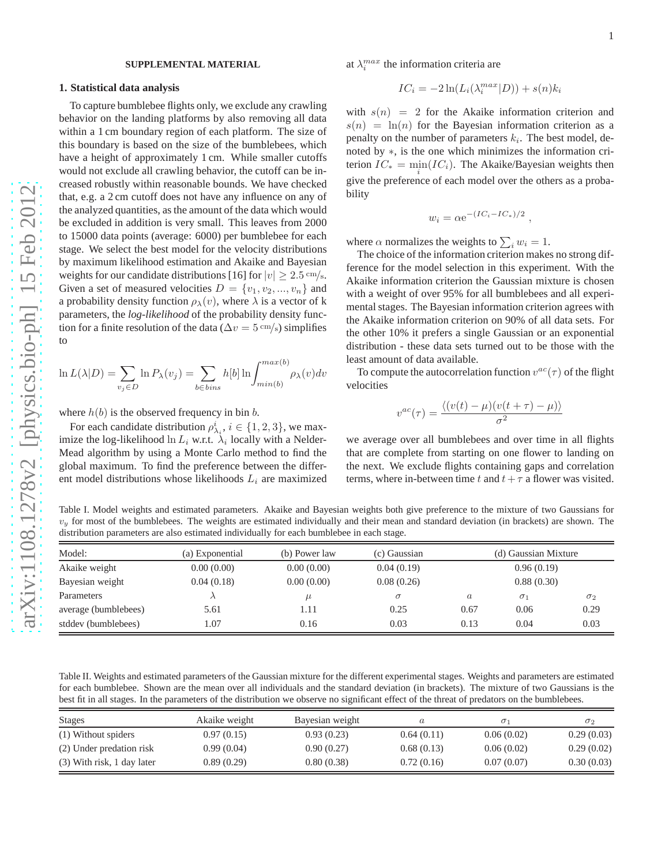### **SUPPLEMENTAL MATERIAL**

# **1. Statistical data analysis**

To capture bumblebee flights only, we exclude any crawling behavior on the landing platforms by also removing all data within a 1 cm boundary region of each platform. The size of this boundary is based on the size of the bumblebees, which have a height of approximately 1 cm. While smaller cutoffs would not exclude all crawling behavior, the cutoff can be increased robustly within reasonable bounds. We have checked that, e.g. a 2 cm cutoff does not have any influence on any of the analyzed quantities, as the amount of the data which would be excluded in addition is very small. This leaves from 2000 to 15000 data points (average: 6000) per bumblebee for each stage. We select the best model for the velocity distributions by maximum likelihood estimation and Akaike and Bayesian weights for our candidate distributions [16] for  $|v| \ge 2.5$  cm/s. Given a set of measured velocities  $D = \{v_1, v_2, ..., v_n\}$  and a probability density function  $\rho_{\lambda}(v)$ , where  $\lambda$  is a vector of k parameters, the *log-likelihood* of the probability density function for a finite resolution of the data ( $\Delta v = 5 \text{ cm/s}$ ) simplifies to

$$
\ln L(\lambda|D) = \sum_{v_j \in D} \ln P_{\lambda}(v_j) = \sum_{b \in bins} h[b] \ln \int_{min(b)}^{max(b)} \rho_{\lambda}(v) dv
$$

where  $h(b)$  is the observed frequency in bin b.

For each candidate distribution  $\rho_{\lambda_i}^i$ ,  $i \in \{1, 2, 3\}$ , we maximize the log-likelihood  $\ln L_i$  w.r.t.  $\lambda_i$  locally with a Nelder-Mead algorithm by using a Monte Carlo method to find the global maximum. To find the preference between the different model distributions whose likelihoods  $L_i$  are maximized at  $\lambda_i^{max}$  the information criteria are

$$
IC_i = -2\ln(L_i(\lambda_i^{max}|D)) + s(n)k_i
$$

with  $s(n) = 2$  for the Akaike information criterion and  $s(n) = \ln(n)$  for the Bayesian information criterion as a penalty on the number of parameters  $k_i$ . The best model, denoted by ∗, is the one which minimizes the information criterion  $IC_* = \min_i (IC_i)$ . The Akaike/Bayesian weights then give the preference of each model over the others as a probability

$$
w_i = \alpha e^{-(IC_i - IC_*)/2},
$$

where  $\alpha$  normalizes the weights to  $\sum_i w_i = 1$ .

The choice of the information criterion makes no strong difference for the model selection in this experiment. With the Akaike information criterion the Gaussian mixture is chosen with a weight of over 95% for all bumblebees and all experimental stages. The Bayesian information criterion agrees with the Akaike information criterion on 90% of all data sets. For the other 10% it prefers a single Gaussian or an exponential distribution - these data sets turned out to be those with the least amount of data available.

To compute the autocorrelation function  $v^{ac}(\tau)$  of the flight velocities

$$
v^{ac}(\tau) = \frac{\langle (v(t) - \mu)(v(t + \tau) - \mu) \rangle}{\sigma^2}
$$

we average over all bumblebees and over time in all flights that are complete from starting on one flower to landing on the next. We exclude flights containing gaps and correlation terms, where in-between time t and  $t + \tau$  a flower was visited.

<span id="page-4-0"></span>Table I. Model weights and estimated parameters. Akaike and Bayesian weights both give preference to the mixture of two Gaussians for  $v_y$  for most of the bumblebees. The weights are estimated individually and their mean and standard deviation (in brackets) are shown. The distribution parameters are also estimated individually for each bumblebee in each stage.

| Model:               | (a) Exponential | (b) Power law | (c) Gaussian | (d) Gaussian Mixture |            |            |
|----------------------|-----------------|---------------|--------------|----------------------|------------|------------|
| Akaike weight        | 0.00(0.00)      | 0.00(0.00)    | 0.04(0.19)   | 0.96(0.19)           |            |            |
| Bayesian weight      | 0.04(0.18)      | 0.00(0.00)    | 0.08(0.26)   | 0.88(0.30)           |            |            |
| Parameters           |                 | $\mu$         | $\sigma$     | $\boldsymbol{a}$     | $\sigma_1$ | $\sigma_2$ |
| average (bumblebees) | 5.61            | 1.11          | 0.25         | 0.67                 | 0.06       | 0.29       |
| stddev (bumblebees)  | l.07            | 0.16          | 0.03         | 0.13                 | 0.04       | 0.03       |

Table II. Weights and estimated parameters of the Gaussian mixture for the different experimental stages. Weights and parameters are estimated for each bumblebee. Shown are the mean over all individuals and the standard deviation (in brackets). The mixture of two Gaussians is the best fit in all stages. In the parameters of the distribution we observe no significant effect of the threat of predators on the bumblebees.

| <b>Stages</b>              | Akaike weight | Bayesian weight | a          | $\sigma_1$ | $\sigma_2$ |
|----------------------------|---------------|-----------------|------------|------------|------------|
| (1) Without spiders        | 0.97(0.15)    | 0.93(0.23)      | 0.64(0.11) | 0.06(0.02) | 0.29(0.03) |
| (2) Under predation risk   | 0.99(0.04)    | 0.90(0.27)      | 0.68(0.13) | 0.06(0.02) | 0.29(0.02) |
| (3) With risk, 1 day later | 0.89(0.29)    | 0.80(0.38)      | 0.72(0.16) | 0.07(0.07) | 0.30(0.03) |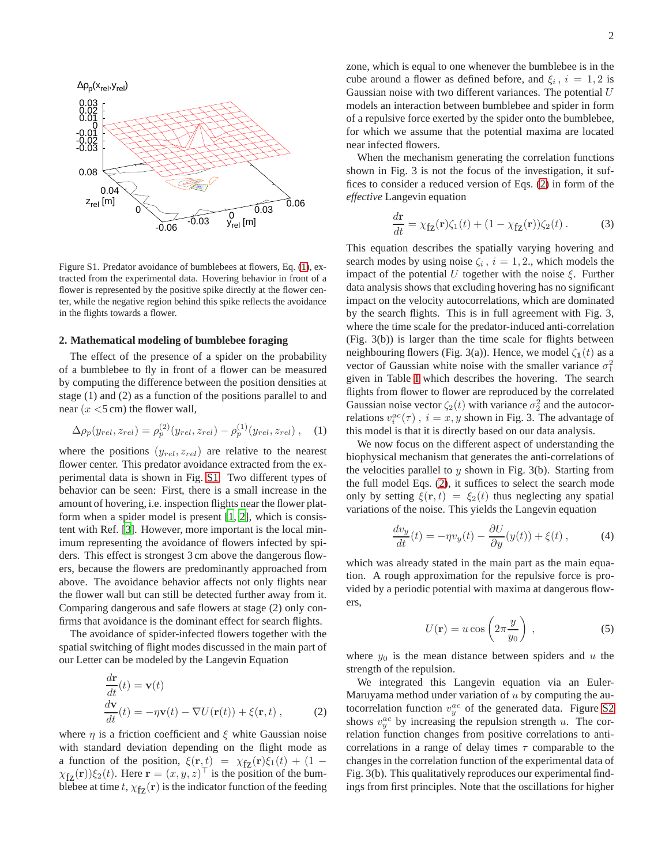

<span id="page-5-0"></span>Figure S1. Predator avoidance of bumblebees at flowers, Eq. [\(1\)](#page-5-1), extracted from the experimental data. Hovering behavior in front of a flower is represented by the positive spike directly at the flower center, while the negative region behind this spike reflects the avoidance in the flights towards a flower.

# **2. Mathematical modeling of bumblebee foraging**

The effect of the presence of a spider on the probability of a bumblebee to fly in front of a flower can be measured by computing the difference between the position densities at stage (1) and (2) as a function of the positions parallel to and near  $(x \le 5 \text{ cm})$  the flower wall,

<span id="page-5-1"></span>
$$
\Delta \rho_p(y_{rel}, z_{rel}) = \rho_p^{(2)}(y_{rel}, z_{rel}) - \rho_p^{(1)}(y_{rel}, z_{rel}), \quad (1)
$$

where the positions  $(y_{rel}, z_{rel})$  are relative to the nearest flower center. This predator avoidance extracted from the experimental data is shown in Fig. [S1.](#page-5-0) Two different types of behavior can be seen: First, there is a small increase in the amount of hovering, i.e. inspection flights near the flower platform when a spider model is present [\[1](#page-6-2), [2\]](#page-6-3), which is consistent with Ref. [\[3\]](#page-6-0). However, more important is the local minimum representing the avoidance of flowers infected by spiders. This effect is strongest 3 cm above the dangerous flowers, because the flowers are predominantly approached from above. The avoidance behavior affects not only flights near the flower wall but can still be detected further away from it. Comparing dangerous and safe flowers at stage (2) only confirms that avoidance is the dominant effect for search flights.

The avoidance of spider-infected flowers together with the spatial switching of flight modes discussed in the main part of our Letter can be modeled by the Langevin Equation

<span id="page-5-2"></span>
$$
\frac{d\mathbf{r}}{dt}(t) = \mathbf{v}(t)
$$
\n
$$
\frac{d\mathbf{v}}{dt}(t) = -\eta \mathbf{v}(t) - \nabla U(\mathbf{r}(t)) + \xi(\mathbf{r}, t),
$$
\n(2)

where  $\eta$  is a friction coefficient and  $\xi$  white Gaussian noise with standard deviation depending on the flight mode as a function of the position,  $\xi(\mathbf{r}, t) = \chi_{f\mathbf{Z}}(\mathbf{r})\xi_1(t) + (1 - \mathbf{r})\xi_2(t)$  $\chi_{f\mathbf{Z}}(\mathbf{r})\xi_2(t)$ . Here  $\mathbf{r} = (x, y, z)^\top$  is the position of the bumblebee at time t,  $\chi_{fz}(\mathbf{r})$  is the indicator function of the feeding

zone, which is equal to one whenever the bumblebee is in the cube around a flower as defined before, and  $\xi_i$ ,  $i = 1, 2$  is Gaussian noise with two different variances. The potential  $U$ models an interaction between bumblebee and spider in form of a repulsive force exerted by the spider onto the bumblebee, for which we assume that the potential maxima are located near infected flowers.

When the mechanism generating the correlation functions shown in Fig. 3 is not the focus of the investigation, it suffices to consider a reduced version of Eqs. [\(2\)](#page-5-2) in form of the *effective* Langevin equation

$$
\frac{d\mathbf{r}}{dt} = \chi_{\mathbf{f}\mathbf{z}}(\mathbf{r})\zeta_1(t) + (1 - \chi_{\mathbf{f}\mathbf{z}}(\mathbf{r}))\zeta_2(t) . \tag{3}
$$

This equation describes the spatially varying hovering and search modes by using noise  $\zeta_i$ ,  $i = 1, 2$ ., which models the impact of the potential U together with the noise  $\xi$ . Further data analysis shows that excluding hovering has no significant impact on the velocity autocorrelations, which are dominated by the search flights. This is in full agreement with Fig. 3, where the time scale for the predator-induced anti-correlation (Fig. 3(b)) is larger than the time scale for flights between neighbouring flowers (Fig. 3(a)). Hence, we model  $\zeta_1(t)$  as a vector of Gaussian white noise with the smaller variance  $\sigma_1^2$ given in Table [I](#page-4-0) which describes the hovering. The search flights from flower to flower are reproduced by the correlated Gaussian noise vector  $\zeta_2(t)$  with variance  $\sigma_2^2$  and the autocorrelations  $v_i^{ac}(\tau)$ ,  $i = x, y$  shown in Fig. 3. The advantage of this model is that it is directly based on our data analysis.

We now focus on the different aspect of understanding the biophysical mechanism that generates the anti-correlations of the velocities parallel to  $y$  shown in Fig. 3(b). Starting from the full model Eqs. [\(2\)](#page-5-2), it suffices to select the search mode only by setting  $\xi(\mathbf{r}, t) = \xi_2(t)$  thus neglecting any spatial variations of the noise. This yields the Langevin equation

<span id="page-5-3"></span>
$$
\frac{dv_y}{dt}(t) = -\eta v_y(t) - \frac{\partial U}{\partial y}(y(t)) + \xi(t) ,\qquad (4)
$$

which was already stated in the main part as the main equation. A rough approximation for the repulsive force is provided by a periodic potential with maxima at dangerous flowers,

<span id="page-5-4"></span>
$$
U(\mathbf{r}) = u \cos \left(2\pi \frac{y}{y_0}\right) , \qquad (5)
$$

where  $y_0$  is the mean distance between spiders and u the strength of the repulsion.

We integrated this Langevin equation via an Euler-Maruyama method under variation of  $u$  by computing the autocorrelation function  $v_y^{ac}$  of the generated data. Figure [S2](#page-6-1) shows  $v_y^{ac}$  by increasing the repulsion strength u. The correlation function changes from positive correlations to anticorrelations in a range of delay times  $\tau$  comparable to the changes in the correlation function of the experimental data of Fig. 3(b). This qualitatively reproduces our experimental findings from first principles. Note that the oscillations for higher